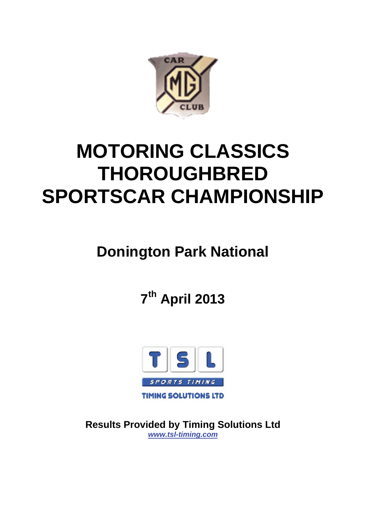

# **MOTORING CLASSICS THOROUGHBRED SPORTSCAR CHAMPIONSHIP**

# **Donington Park National**

**7th April 2013**



**Results Provided by Timing Solutions Ltd**  *www.tsl-timing.com*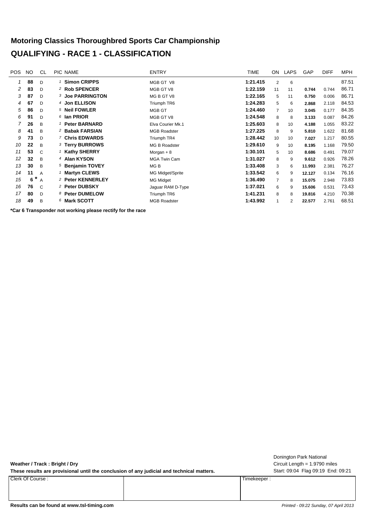#### **Motoring Classics Thoroughbred Sports Car Championship QUALIFYING - RACE 1 - CLASSIFICATION**

| <b>POS</b> | NO. | CL             | <b>PIC NAME</b>            | <b>ENTRY</b>        | TIME     | ON             | <b>LAPS</b> | GAP    | <b>DIFF</b> | MPH   |
|------------|-----|----------------|----------------------------|---------------------|----------|----------------|-------------|--------|-------------|-------|
| 1          | 88  | $\mathsf{D}$   | <b>Simon CRIPPS</b>        | MGB GT V8           | 1:21.415 | 2              | 6           |        |             | 87.51 |
| 2          | 83  | D              | <sup>2</sup> Rob SPENCER   | MGB GT V8           | 1:22.159 | 11             | 11          | 0.744  | 0.744       | 86.71 |
| 3          | 87  | D              | <b>3 Joe PARRINGTON</b>    | MG B GT V8          | 1:22.165 | 5              | 11          | 0.750  | 0.006       | 86.71 |
| 4          | 67  | D              | 4 Jon ELLISON              | Triumph TR6         | 1:24.283 | 5              | 6           | 2.868  | 2.118       | 84.53 |
| 5          | 86  | D              | 5 Neil FOWLER              | MGB GT              | 1:24.460 | $\overline{7}$ | 10          | 3.045  | 0.177       | 84.35 |
| 6          | 91  | D              | $6$ lan PRIOR              | MGB GT V8           | 1:24.548 | 8              | 8           | 3.133  | 0.087       | 84.26 |
|            | 26  | B              | <b>Peter BARNARD</b>       | Elva Courier Mk.1   | 1:25.603 | 8              | 10          | 4.188  | 1.055       | 83.22 |
| 8          | 41  | B              | <sup>2</sup> Babak FARSIAN | <b>MGB Roadster</b> | 1:27.225 | 8              | 9           | 5.810  | 1.622       | 81.68 |
| 9          | 73  | D              | 7 Chris EDWARDS            | Triumph TR4         | 1:28.442 | 10             | 10          | 7.027  | 1.217       | 80.55 |
| 10         | 22  | B              | 3 Terry BURROWS            | MG B Roadster       | 1:29.610 | 9              | 10          | 8.195  | 1.168       | 79.50 |
| 11         | 53  | $\mathcal{C}$  | <b>Kathy SHERRY</b>        | Morgan $+8$         | 1:30.101 | 5              | 10          | 8.686  | 0.491       | 79.07 |
| 12         | 32  | B              | 4 Alan KYSON               | <b>MGA Twin Cam</b> | 1:31.027 | 8              | 9           | 9.612  | 0.926       | 78.26 |
| 13         | 30  | B              | 5 Benjamin TOVEY           | MG B                | 1:33.408 | 3              | 6           | 11.993 | 2.381       | 76.27 |
| 14         | 11  | A              | <b>Martyn CLEWS</b>        | MG Midget/Sprite    | 1:33.542 | 6              | 9           | 12.127 | 0.134       | 76.16 |
| 15         | 6   | $\overline{A}$ | 2 Peter KENNERLEY          | MG Midget           | 1:36.490 | 7              | 8           | 15.075 | 2.948       | 73.83 |
| 16         | 76  | C              | <sup>2</sup> Peter DUBSKY  | Jaguar RAM D-Type   | 1:37.021 | 6              | 9           | 15.606 | 0.531       | 73.43 |
| 17         | 80  | D              | 8 Peter DUMELOW            | Triumph TR6         | 1:41.231 | 8              | 8           | 19.816 | 4.210       | 70.38 |
| 18         | 49  | B              | 6 Mark SCOTT               | <b>MGB Roadster</b> | 1:43.992 | 1              | 2           | 22.577 | 2.761       | 68.51 |
|            |     |                |                            |                     |          |                |             |        |             |       |

**\*Car 6 Transponder not working please rectify for the race**

**Weather / Track : Bright / Dry**

These results are provisional until the conclusion of any judicial and technical matters. Start: 09:04 Flag 09:19 End: 09:21

Clerk Of Course : Timekeeper :

Circuit Length = 1.9790 miles Donington Park National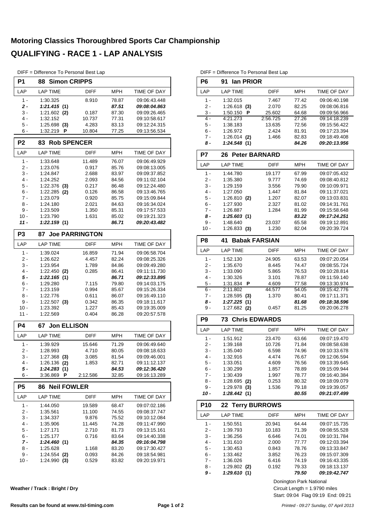#### **Motoring Classics Thoroughbred Sports Car Championship QUALIFYING - RACE 1 - LAP ANALYSIS**

DIFF = Difference To Personal Best Lap

| P1             | <b>Simon CRIPPS</b><br>88          |                       |                |                              |
|----------------|------------------------------------|-----------------------|----------------|------------------------------|
| LAP            | <b>LAP TIME</b>                    | DIFF                  | MPH            | TIME OF DAY                  |
| $1 -$          | 1:30.325                           | 8.910                 | 78.87          | 09:06:43.448                 |
| 2 -            | 1:21.415(1)                        |                       | 87.51          | <i><b>09:08:04.863</b></i>   |
| 3 -            | $1:21.602$ (2)                     | 0.187                 | 87.30          | 09:09:26.465                 |
| $4 -$          | 1:32.152                           | 10.737                | 77.31          | 09:10:58.617                 |
| 5 -            | $1:25.698$ (3)                     | 4.283                 | 83.13          | 09:12:24.315                 |
| 6 -            | 1:32.219<br>Р                      | 10.804                | 77.25          | 09:13:56.534                 |
| P <sub>2</sub> | <b>Rob SPENCER</b><br>83.          |                       |                |                              |
| LAP            | <b>LAP TIME</b>                    | <b>DIFF</b>           | <b>MPH</b>     | <b>TIME OF DAY</b>           |
| $1 -$          | 1:33.648                           | 11.489                | 76.07          | 09:06:49.929                 |
| 2 -            | 1:23.076                           | 0.917                 | 85.76          | 09:08:13.005                 |
| 3 -            | 1:24.847                           | 2.688                 | 83.97          | 09:09:37.852                 |
| $4 -$<br>5 -   | 1:24.252                           | 2.093                 | 84.56          | 09:11:02.104                 |
| 6 -            | 1:22.376<br>(3)<br>1:22.285<br>(2) | 0.217<br>0.126        | 86.48<br>86.58 | 09:12:24.480<br>09:13:46.765 |
| 7 -            | 1:23.079                           | 0.920                 | 85.75          | 09:15:09.844                 |
| 8 -            | 1:24.180                           | 2.021                 | 84.63          | 09:16:34.024                 |
| 9 -            | 1:23.509                           | 1.350                 | 85.31          | 09:17:57.533                 |
| $10 -$         | 1:23.790                           | 1.631                 | 85.02          | 09:19:21.323                 |
| $11 -$         | 1:22.159(1)                        |                       | 86.71          | <i><b>09:20:43.482</b></i>   |
| P <sub>3</sub> | 87                                 | <b>Joe PARRINGTON</b> |                |                              |
| LAP            | <b>LAP TIME</b>                    | <b>DIFF</b>           | <b>MPH</b>     | TIME OF DAY                  |
| $1 -$          | 1:39.024                           | 16.859                | 71.94          | 09:06:58.704                 |
| 2 -            | 1:26.622                           | 4.457                 | 82.24          | 09:08:25.326                 |
| 3 -            | 1:23.954                           | 1.789                 | 84.86          | 09:09:49.280                 |
| 4 -            | $1:22.450$ (2)                     | 0.285                 | 86.41          | 09:11:11.730                 |
| 5 -            | 1:22.165<br>(1)                    |                       | 86.71          | 09:12:33.895                 |
| 6 -            | 1:29.280                           | 7.115                 | 79.80          | 09:14:03.175                 |
| $7 -$          | 1:23.159                           | 0.994                 | 85.67          | 09:15:26.334                 |
| 8 -<br>9 -     | 1:22.776                           | 0.611                 | 86.07<br>86.35 | 09:16:49.110                 |
| $10 -$         | 1:22.507<br>(3)<br>1:23.392        | 0.342<br>1.227        | 85.43          | 09:18:11.617<br>09:19:35.009 |
| 11 -           | 1:22.569                           | 0.404                 | 86.28          | 09:20:57.578                 |
| P4             | <b>Jon ELLISON</b><br>67           |                       |                |                              |
| LAP            | <b>LAP TIME</b>                    | <b>DIFF</b>           | MPH            | <b>TIME OF DAY</b>           |
| $1 -$          | 1:39.929                           | 15.646                | 71.29          | 09:06:49.640                 |
| $2 -$          | 1:28.993                           | 4.710                 | 80.05          | 09:08:18.633                 |
| 3 -            | $1:27.368$ (3)                     | 3.085                 | 81.54          | 09:09:46.001                 |
| 4 -            | 1:26.136<br>(2)                    | 1.853                 | 82.71          | 09:11:12.137                 |
| 5 -            | 1:24.283(1)                        |                       | 84.53          | <i><b>09:12:36.420</b></i>   |
| 6 -            | Ρ<br>3:36.869                      | 2:12.586              | 32.85          | 09:16:13.289                 |
| P <sub>5</sub> | <b>Neil FOWLER</b><br>86           |                       |                |                              |
| LAP            | <b>LAP TIME</b>                    | <b>DIFF</b>           | MPH            | TIME OF DAY                  |
| 1 -            | 1:44.050                           | 19.589                | 68.47          | 09:07:02.186                 |
| $2 -$          | 1:35.561                           | 11.100                | 74.55          | 09:08:37.747                 |
| $3 -$          | 1:34.337                           | 9.876                 | 75.52          | 09:10:12.084                 |
| 4 -            | 1:35.906                           | 11.445                | 74.28          | 09:11:47.990                 |
| 5 -            | 1:27.171                           | 2.710                 | 81.73          | 09:13:15.161                 |
| 6 -            | 1:25.177                           | 0.716                 | 83.64          | 09:14:40.338                 |
| 7 -            | 1:24.460(1)                        |                       | 84.35          | <i><b>09:16:04.798</b></i>   |
| 8 -            | 1:25.628                           | 1.168                 | 83.20          | 09:17:30.427                 |
| 9 -            | 1:24.554<br>(2)                    | 0.093                 | 84.26          | 09:18:54.981                 |
| 10 -           | 1:24.990<br>(3)                    | 0.529                 | 83.82          | 09:20:19.971                 |

**Weather / Track : Bright / Dry**

DIFF = Difference To Personal Best Lap

|                       | 91<br>lan PRIOR               |                                                                                                                                                                                                                                                                                                                   |                |                                                            |
|-----------------------|-------------------------------|-------------------------------------------------------------------------------------------------------------------------------------------------------------------------------------------------------------------------------------------------------------------------------------------------------------------|----------------|------------------------------------------------------------|
| LAP                   | LAP TIME                      | <b>DIFF</b>                                                                                                                                                                                                                                                                                                       | <b>MPH</b>     | TIME OF DAY                                                |
| $1 -$                 | 1:32.015                      | 7.467                                                                                                                                                                                                                                                                                                             | 77.42          | 09:06:40.198                                               |
| $2 -$                 | $1:26.618$ (3)                | 2.070                                                                                                                                                                                                                                                                                                             | 82.25          | 09:08:06.816                                               |
| 3 -                   | 1:50.150<br>Ρ                 | 25.602                                                                                                                                                                                                                                                                                                            | 64.68          | 09:09:56.966                                               |
| $4 -$                 | 4:21.273                      | 2:56.725                                                                                                                                                                                                                                                                                                          | 27.26          | 09:14:18.239                                               |
| 5 -                   | 1:38.183                      | 13.635                                                                                                                                                                                                                                                                                                            | 72.56          | 09:15:56.422                                               |
| 6 -                   | 1:26.972                      | 2.424                                                                                                                                                                                                                                                                                                             | 81.91          | 09:17:23.394                                               |
| 7 -                   | $1:26.014$ (2)                | 1.466                                                                                                                                                                                                                                                                                                             | 82.83          | 09:18:49.408                                               |
| 8 -                   | 1:24.548(1)                   |                                                                                                                                                                                                                                                                                                                   | 84.26          | <i><b>09:20:13.956</b></i>                                 |
| P7                    | 26                            | <b>Peter BARNARD</b><br><b>DIFF</b><br><b>MPH</b><br>67.99<br>19.177<br>74.69<br>9.777<br>79.90<br>3.556<br>1.447<br>81.84<br>1.207<br>82.07<br>2.327<br>81.02<br>1.284<br>81.99<br>83.22<br>23.037<br>65.58<br>1.230<br>82.04<br><b>Babak FARSIAN</b><br>MPH<br><b>DIFF</b><br>24.905<br>63.53<br>74.47<br>8.445 |                |                                                            |
| LAP                   | <b>LAP TIME</b>               |                                                                                                                                                                                                                                                                                                                   |                | TIME OF DAY                                                |
| 1 -                   | 1:44.780                      |                                                                                                                                                                                                                                                                                                                   |                | 09:07:05.432                                               |
| 2 -                   | 1:35.380                      |                                                                                                                                                                                                                                                                                                                   |                | 09:08:40.812                                               |
| 3 -                   | 1:29.159                      |                                                                                                                                                                                                                                                                                                                   |                | 09:10:09.971                                               |
| 4 -                   | 1:27.050                      |                                                                                                                                                                                                                                                                                                                   |                | 09:11:37.021                                               |
| 5 -                   | $1:26.810$ (2)                |                                                                                                                                                                                                                                                                                                                   |                | 09:13:03.831                                               |
| $6 -$                 | 1:27.930                      |                                                                                                                                                                                                                                                                                                                   |                | 09:14:31.761                                               |
| 7 -                   | 1:26.887                      |                                                                                                                                                                                                                                                                                                                   |                | 09:15:58.648                                               |
| 8 -                   | 1:25.603(1)                   |                                                                                                                                                                                                                                                                                                                   |                | 09:17:24.251                                               |
| 9 -                   | 1:48.640                      |                                                                                                                                                                                                                                                                                                                   |                | 09:19:12.891                                               |
| $10 -$                | 1:26.833(3)                   |                                                                                                                                                                                                                                                                                                                   |                | 09:20:39.724                                               |
| P8                    | 41                            |                                                                                                                                                                                                                                                                                                                   |                |                                                            |
|                       |                               |                                                                                                                                                                                                                                                                                                                   |                |                                                            |
| LAP                   | <b>LAP TIME</b>               |                                                                                                                                                                                                                                                                                                                   |                | TIME OF DAY                                                |
| $1 -$                 | 1:52.130                      |                                                                                                                                                                                                                                                                                                                   |                | 09:07:20.054                                               |
| 2 -                   | 1:35.670                      |                                                                                                                                                                                                                                                                                                                   |                | 09:08:55.724                                               |
| 3 -                   | 1:33.090                      | 5.865                                                                                                                                                                                                                                                                                                             | 76.53          | 09:10:28.814                                               |
| 4 -                   | 1:30.326                      | 3.101                                                                                                                                                                                                                                                                                                             | 78.87          | 09:11:59.140                                               |
| 5 -                   | 1:31.834<br>Ρ                 | 4.609                                                                                                                                                                                                                                                                                                             | 77.58          | 09:13:30.974                                               |
| 6 -                   | 2:11.802                      | 44.577                                                                                                                                                                                                                                                                                                            | 54.05          | 09:15:42.776                                               |
| 7 -                   | 1:28.595<br>(3)               | 1.370                                                                                                                                                                                                                                                                                                             | 80.41          | 09:17:11.371                                               |
| 8 -                   | 1:27.225(1)                   |                                                                                                                                                                                                                                                                                                                   | 81.68          | 09:18:38.596                                               |
| 9 -                   | 1:27.682<br>(2)               | 0.457                                                                                                                                                                                                                                                                                                             | 81.25          | 09:20:06.278                                               |
|                       |                               |                                                                                                                                                                                                                                                                                                                   |                |                                                            |
|                       | <b>Chris EDWARDS</b><br>73    |                                                                                                                                                                                                                                                                                                                   |                |                                                            |
| P <sub>9</sub><br>LAP | <b>LAP TIME</b>               | <b>DIFF</b>                                                                                                                                                                                                                                                                                                       | MPH            | TIME OF DAY                                                |
| 1 -                   | 1:51.912                      | 23.470                                                                                                                                                                                                                                                                                                            | 63.66          | 09:07:19.470                                               |
| 2 -                   | 1:39.168                      | 10.726                                                                                                                                                                                                                                                                                                            | 71.84          | 09:08:58.638                                               |
| 3 -                   | 1:35.040                      | 6.598                                                                                                                                                                                                                                                                                                             | 74.96          | 09:10:33.678                                               |
| 4 -                   | 1:32.916                      | 4.474                                                                                                                                                                                                                                                                                                             | 76.67          | 09:12:06.594                                               |
| $5 -$                 | 1:33.051                      | 4.609                                                                                                                                                                                                                                                                                                             | 76.56          | 09:13:39.645                                               |
| $6 -$                 | 1:30.299                      | 1.857                                                                                                                                                                                                                                                                                                             |                | 09:15:09.944                                               |
| $7 -$                 | 1:30.439                      |                                                                                                                                                                                                                                                                                                                   | 78.89          |                                                            |
|                       |                               | 1.997                                                                                                                                                                                                                                                                                                             | 78.77          | 09:16:40.384                                               |
| $8 -$                 | 1:28.695<br>(2)               | 0.253                                                                                                                                                                                                                                                                                                             | 80.32          | 09:18:09.079                                               |
| 9 -<br>10 -           | $1:29.978$ (3)<br>1:28.442(1) | 1.536                                                                                                                                                                                                                                                                                                             | 79.18<br>80.55 | 09:19:39.057                                               |
| P <sub>10</sub>       | <b>22 Terry BURROWS</b>       |                                                                                                                                                                                                                                                                                                                   |                |                                                            |
| LAP                   | <b>LAP TIME</b>               | <b>DIFF</b>                                                                                                                                                                                                                                                                                                       | MPH            | TIME OF DAY                                                |
| 1 -                   | 1:50.551                      | 20.941                                                                                                                                                                                                                                                                                                            | 64.44          | 09:07:15.735                                               |
| 2 -                   |                               | 10.183                                                                                                                                                                                                                                                                                                            | 71.39          | 09:08:55.528                                               |
|                       | 1:39.793                      |                                                                                                                                                                                                                                                                                                                   |                |                                                            |
| $3 -$                 | 1:36.256                      | 6.646                                                                                                                                                                                                                                                                                                             | 74.01          | 09:10:31.784                                               |
| 4 -                   | 1:31.610                      | 2.000                                                                                                                                                                                                                                                                                                             | 77.77          | 09:12:03.394                                               |
| 5 -                   | 1:30.453                      | 0.843                                                                                                                                                                                                                                                                                                             | 78.76          | 09:13:33.847                                               |
| 6 -                   | 1:33.462                      | 3.852                                                                                                                                                                                                                                                                                                             | 76.23          | 09:15:07.309                                               |
| 7 -<br>$8 -$          | 1:36.026<br>$1:29.802$ (2)    | 6.416<br>0.192                                                                                                                                                                                                                                                                                                    | 74.19<br>79.33 | <i><b>09:21:07.499</b></i><br>09:16:43.335<br>09:18:13.137 |

Start: 09:04 Flag 09:19 End: 09:21 Circuit Length = 1.9790 miles Donington Park National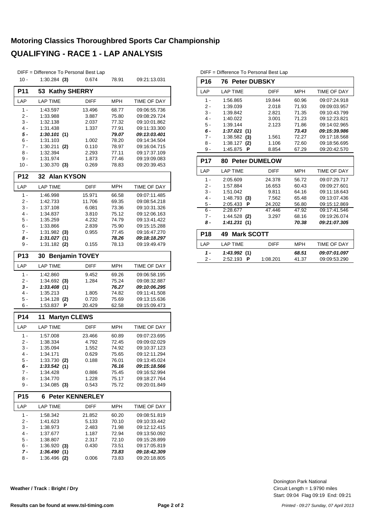## **Motoring Classics Thoroughbred Sports Car Championship QUALIFYING - RACE 1 - LAP ANALYSIS**

|              | DIFF = Difference To Personal Best Lap |                        |                |                              |
|--------------|----------------------------------------|------------------------|----------------|------------------------------|
| $10 -$       | $1:30.284$ (3)                         | 0.674                  | 78.91          | 09:21:13.031                 |
| <b>P11</b>   | 53<br><b>Kathy SHERRY</b>              |                        |                |                              |
| LAP          | <b>LAP TIME</b>                        | DIFF                   | <b>MPH</b>     | TIME OF DAY                  |
| $1 -$        | 1:43.597                               | 13.496                 | 68.77          | 09:06:55.736                 |
| 2 -          | 1:33.988                               | 3.887                  | 75.80          | 09:08:29.724                 |
| 3 -          | 1:32.138                               | 2.037                  | 77.32          | 09:10:01.862                 |
| 4 -          | 1:31.438                               | 1.337                  | 77.91          | 09:11:33.300                 |
| 5 -          | 1:30.101(1)                            |                        | 79.07          | 09:13:03.401                 |
| 6 -          | 1:31.103                               | 1.002                  | 78.20          | 09:14:34.504                 |
| 7 -          | 1:30.211<br>(2)                        | 0.110                  | 78.97          | 09:16:04.715                 |
| 8 -<br>9 -   | 1:32.394<br>1:31.974                   | 2.293<br>1.873         | 77.11<br>77.46 | 09:17:37.109<br>09:19:09.083 |
| 10 -         | $1:30.370$ (3)                         | 0.269                  | 78.83          | 09:20:39.453                 |
| <b>P12</b>   | 32 Alan KYSON                          |                        |                |                              |
| LAP          | <b>LAP TIME</b>                        | DIFF                   | MPH            | TIME OF DAY                  |
| 1 -          | 1:46.998                               | 15.971                 | 66.58          | 09:07:11.485                 |
| 2 -          | 1:42.733                               | 11.706                 | 69.35          | 09:08:54.218                 |
| 3 -          | 1:37.108                               | 6.081                  | 73.36          | 09:10:31.326                 |
| 4 -          | 1:34.837                               | 3.810                  | 75.12          | 09:12:06.163                 |
| 5 -          | 1:35.259                               | 4.232                  | 74.79          | 09:13:41.422                 |
| 6 -          | 1:33.866                               | 2.839                  | 75.90          | 09:15:15.288                 |
| 7 -          | $1:31.982$ (3)                         | 0.955                  | 77.45          | 09:16:47.270                 |
| 8 -          | 1:31.027(1)                            |                        | 78.26          | 09:18:18.297                 |
| 9 -          | $1:31.182$ (2)                         | 0.155                  | 78.13          | 09:19:49.479                 |
| <b>P13</b>   | 30 Benjamin TOVEY                      |                        |                |                              |
| LAP          | <b>LAP TIME</b>                        | DIFF                   | MPH            | TIME OF DAY                  |
| 1 -          | 1:42.860                               | 9.452                  | 69.26          | 09:06:58.195                 |
| 2 -          | 1:34.692<br>(3)                        | 1.284                  | 75.24          | 09:08:32.887                 |
| 3 -          | 1:33.408<br>(1)                        |                        | 76.27          | 09:10:06.295                 |
| 4 -          | 1:35.213                               | 1.805                  | 74.82          | 09:11:41.508                 |
| 5 -<br>6 -   | 1:34.128<br>(2)<br>1:53.837<br>Р       | 0.720<br>20.429        | 75.69<br>62.58 | 09:13:15.636<br>09:15:09.473 |
|              |                                        |                        |                |                              |
| P14          | <b>Martyn CLEWS</b><br>11              |                        |                |                              |
| LAP          | <b>LAP TIME</b>                        | DIFF                   | <b>MPH</b>     | TIME OF DAY                  |
| $1 -$        | 1:57.008                               | 23.466                 | 60.89          | 09:07:23.695                 |
| 2 -          | 1:38.334                               | 4.792                  | 72.45          | 09:09:02.029                 |
| 3 -          | 1:35.094                               | 1.552                  | 74.92          | 09:10:37.123                 |
| 4 -          | 1:34.171                               | 0.629                  | 75.65          | 09:12:11.294                 |
| $5 -$<br>6 - | $1:33.730$ (2)<br>1:33.542(1)          | 0.188                  | 76.01<br>76.16 | 09:13:45.024<br>09:15:18.566 |
| $7 -$        | 1:34.428                               | 0.886                  | 75.45          | 09:16:52.994                 |
| 8 -          | 1:34.770                               | 1.228                  | 75.17          | 09:18:27.764                 |
| 9 -          | $1:34.085$ (3)                         | 0.543                  | 75.72          | 09:20:01.849                 |
| <b>P15</b>   | 6                                      | <b>Peter KENNERLEY</b> |                |                              |
| LAP          | <b>LAP TIME</b>                        | DIFF                   | MPH            | TIME OF DAY                  |
| 1 -          | 1:58.342                               | 21.852                 | 60.20          | 09:08:51.819                 |
| 2 -          | 1:41.623                               | 5.133                  | 70.10          | 09:10:33.442                 |
| 3 -          | 1:38.973                               | 2.483                  | 71.98          | 09:12:12.415                 |
| 4 -          | 1:37.677                               | 1.187                  | 72.94          | 09:13:50.092                 |
| 5 -          | 1:38.807                               | 2.317                  | 72.10          | 09:15:28.899                 |
| 6 -          | 1:36.920<br>(3)                        | 0.430                  | 73.51          | 09:17:05.819                 |
| 7 -          | 1:36.490(1)                            |                        | 73.83          | 09:18:42.309                 |
| 8 -          | $1:36.496$ (2)                         | 0.006                  | 73.83          | 09:20:18.805                 |

**Weather / Track : Bright / Dry**

DIFF = Difference To Personal Best Lap

| P <sub>16</sub> |                         | 76 Peter DUBSKY      |            |                    |  |  |  |  |  |
|-----------------|-------------------------|----------------------|------------|--------------------|--|--|--|--|--|
| LAP             | <b>LAP TIME</b>         | <b>DIFF</b>          | <b>MPH</b> | <b>TIME OF DAY</b> |  |  |  |  |  |
| 1 -             | 1:56.865                | 19.844               | 60.96      | 09:07:24.918       |  |  |  |  |  |
| $2 -$           | 1:39.039                | 2.018                | 71.93      | 09:09:03.957       |  |  |  |  |  |
| $3 -$           | 1:39.842                | 2.821                | 71.35      | 09:10:43.799       |  |  |  |  |  |
| 4 -             | 1:40.022                | 3.001                | 71.23      | 09:12:23.821       |  |  |  |  |  |
| $5 -$           | 1:39.144                | 2.123                | 71.86      | 09:14:02.965       |  |  |  |  |  |
| $6 -$           | 1:37.021<br>(1)         |                      | 73.43      | 09:15:39.986       |  |  |  |  |  |
| $7 -$           | 1:38.582<br>(3)         | 1.561                | 72.27      | 09:17:18.568       |  |  |  |  |  |
| $8 -$           | 1:38.127<br>(2)         | 1.106                | 72.60      | 09:18:56.695       |  |  |  |  |  |
| 9 -             | 1:45.875<br>Р           | 8.854                | 67.29      | 09:20:42.570       |  |  |  |  |  |
| <b>P17</b>      | 80                      | <b>Peter DUMELOW</b> |            |                    |  |  |  |  |  |
| LAP             | <b>LAP TIME</b>         | <b>DIFF</b>          | <b>MPH</b> | <b>TIME OF DAY</b> |  |  |  |  |  |
| $1 -$           | 2:05.609                | 24.378               | 56.72      | 09:07:29.717       |  |  |  |  |  |
| $2 -$           | 1:57.884                | 16.653               | 60.43      | 09:09:27.601       |  |  |  |  |  |
| $3 -$           | 1:51.042                | 9.811                | 64.16      | 09:11:18.643       |  |  |  |  |  |
| $4 -$           | 1:48.793<br>(3)         | 7.562                | 65.48      | 09:13:07.436       |  |  |  |  |  |
| $5 -$           | 2:05.433<br>P           | 24.202               | 56.80      | 09:15:12.869       |  |  |  |  |  |
| $6 -$           | 2:28.677                | 47.446               | 47.92      | 09:17:41.546       |  |  |  |  |  |
| 7 -             | 1:44.528<br>(2)         | 3.297                | 68.16      | 09:19:26.074       |  |  |  |  |  |
| 8 -             | 1:41.231<br>(1)         |                      | 70.38      | 09:21:07.305       |  |  |  |  |  |
| <b>P18</b>      | <b>Mark SCOTT</b><br>49 |                      |            |                    |  |  |  |  |  |
| LAP             | <b>LAP TIME</b>         | <b>DIFF</b>          | <b>MPH</b> | <b>TIME OF DAY</b> |  |  |  |  |  |
| $1 -$           | 1:43.992<br>(1)         |                      | 68.51      | 09:07:01.097       |  |  |  |  |  |
| 2 -             | 2:52.193<br>Р           | 1:08.201             | 41.37      | 09:09:53.290       |  |  |  |  |  |
|                 |                         |                      |            |                    |  |  |  |  |  |

Start: 09:04 Flag 09:19 End: 09:21 Circuit Length = 1.9790 miles Donington Park National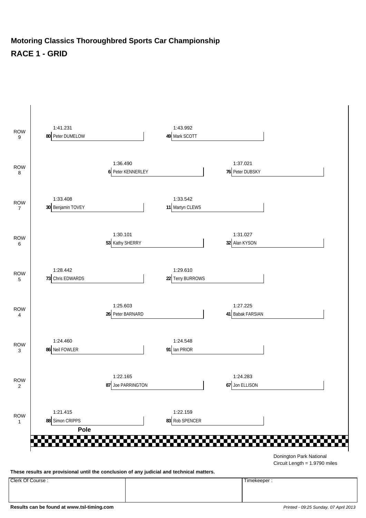#### **Motoring Classics Thoroughbred Sports Car Championship RACE 1 - GRID**



**These results are provisional until the conclusion of any judicial and technical matters.**

Clerk Of Course : Timekeeper :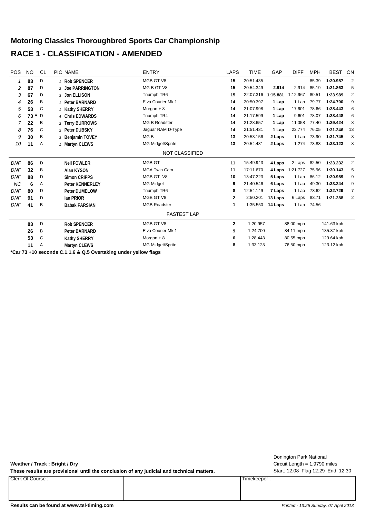#### **Motoring Classics Thoroughbred Sports Car Championship RACE 1 - CLASSIFICATION - AMENDED**

| <b>POS</b> | <b>NO</b>    | <b>CL</b> | PIC NAME               | <b>ENTRY</b>          | <b>LAPS</b>  | <b>TIME</b> | GAP      | <b>DIFF</b> | <b>MPH</b> | <b>BEST</b> | ON             |
|------------|--------------|-----------|------------------------|-----------------------|--------------|-------------|----------|-------------|------------|-------------|----------------|
|            | 83           | D         | 1 Rob SPENCER          | MGB GT V8             | 15           | 20:51.435   |          |             | 85.39      | 1:20.957    | $\overline{2}$ |
| 2          | 87           | D         | 2 Joe PARRINGTON       | MG B GT V8            | 15           | 20:54.349   | 2.914    | 2.914       | 85.19      | 1:21.863    | 5              |
| 3          | 67           | D         | 3 Jon ELLISON          | Triumph TR6           | 15           | 22:07.316   | 1:15.881 | 1:12.967    | 80.51      | 1:23.989    | $\overline{2}$ |
| 4          | 26           | Β         | 1 Peter BARNARD        | Elva Courier Mk.1     | 14           | 20:50.397   | 1 Lap    | 1 Lap       | 79.77      | 1:24.700    | 9              |
| 5          | 53           | C         | 1 Kathy SHERRY         | Morgan $+8$           | 14           | 21:07.998   | 1 Lap    | 17.601      | 78.66      | 1:28.443    | 6              |
| 6          | $\ast$<br>73 | D         | 4 Chris EDWARDS        | Triumph TR4           | 14           | 21:17.599   | 1 Lap    | 9.601       | 78.07      | 1:28.448    | 6              |
|            | 22           | B         | 2 Terry BURROWS        | <b>MG B Roadster</b>  | 14           | 21:28.657   | 1 Lap    | 11.058      | 77.40      | 1:29.424    | 8              |
| 8          | 76           | C         | 2 Peter DUBSKY         | Jaguar RAM D-Type     | 14           | 21:51.431   | 1 Lap    | 22.774      | 76.05      | 1:31.246    | 13             |
| 9          | 30           | Β         | 3 Benjamin TOVEY       | MG <sub>B</sub>       | 13           | 20:53.156   | 2 Laps   | 1 Lap       | 73.90      | 1:31.745    | 8              |
| 10         | 11           | Α         | 1 Martyn CLEWS         | MG Midget/Sprite      | 13           | 20:54.431   | 2 Laps   | 1.274       | 73.83      | 1:33.123    | 8              |
|            |              |           |                        | <b>NOT CLASSIFIED</b> |              |             |          |             |            |             |                |
| <b>DNF</b> | 86           | D         | <b>Neil FOWLER</b>     | <b>MGB GT</b>         | 11           | 15:49.943   | 4 Laps   | 2 Laps      | 82.50      | 1:23.232    | $\overline{2}$ |
| <b>DNF</b> | 32           | B         | <b>Alan KYSON</b>      | <b>MGA Twin Cam</b>   | 11           | 17:11.670   | 4 Laps   | 1:21.727    | 75.96      | 1:30.143    | 5              |
| <b>DNF</b> | 88           | D         | <b>Simon CRIPPS</b>    | MGB GT V8             | 10           | 13:47.223   | 5 Laps   | 1 Lap       | 86.12      | 1:20.959    | 9              |
| <b>NC</b>  | 6            | Α         | <b>Peter KENNERLEY</b> | <b>MG Midget</b>      | 9            | 21:40.546   | 6 Laps   | 1 Lap       | 49.30      | 1:33.244    | 9              |
| <b>DNF</b> | 80           | D         | <b>Peter DUMELOW</b>   | Triumph TR6           | 8            | 12:54.149   | 7 Laps   | 1 Lap       | 73.62      | 1:32.729    | $\overline{7}$ |
| <b>DNF</b> | 91           | D         | lan PRIOR              | MGB GT V8             | 2            | 2:50.201    | 13 Laps  | 6 Laps      | 83.71      | 1:21.288    | $\overline{2}$ |
| <b>DNF</b> | 41           | B         | <b>Babak FARSIAN</b>   | <b>MGB Roadster</b>   | 1            | 1:35.550    | 14 Laps  | 1 Lap       | 74.56      |             |                |
|            |              |           |                        | <b>FASTEST LAP</b>    |              |             |          |             |            |             |                |
|            | 83           | D         | <b>Rob SPENCER</b>     | MGB GT V8             | $\mathbf{2}$ | 1:20.957    |          | 88.00 mph   |            | 141.63 kph  |                |
|            | 26           | B         | Peter BARNARD          | Elva Courier Mk.1     | 9            | 1:24.700    |          | 84.11 mph   |            | 135.37 kph  |                |
|            | 53           | C         | <b>Kathy SHERRY</b>    | Morgan $+8$           | 6            | 1:28.443    |          | 80.55 mph   |            | 129.64 kph  |                |
|            | 11           | Α         | <b>Martyn CLEWS</b>    | MG Midget/Sprite      | 8            | 1:33.123    |          | 76.50 mph   |            | 123.12 kph  |                |

**\*Car 73 +10 seconds C.1.1.6 & Q.5 Overtaking under yellow flags**

**Weather / Track : Bright / Dry**

These results are provisional until the conclusion of any judicial and technical matters. Start: 12:08 Flag 12:29 End: 12:30

Clerk Of Course : Timekeeper :

Circuit Length = 1.9790 miles Donington Park National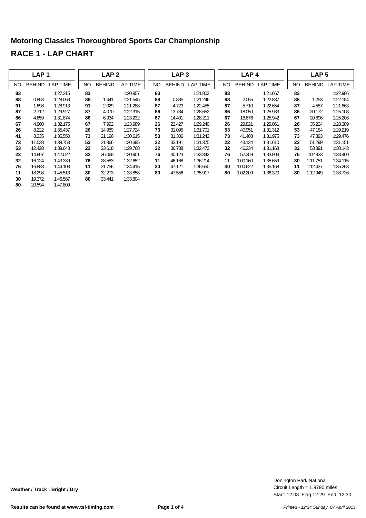## **Motoring Classics Thoroughbred Sports Car Championship RACE 1 - LAP CHART**

|     | LAP <sub>1</sub> |                 |     | LAP <sub>2</sub> |          |     | LAP <sub>3</sub> |          |     | LAP <sub>4</sub> |          |     | LAP <sub>5</sub> |                 |
|-----|------------------|-----------------|-----|------------------|----------|-----|------------------|----------|-----|------------------|----------|-----|------------------|-----------------|
| NO. | <b>BEHIND</b>    | <b>LAP TIME</b> | NO. | <b>BEHIND</b>    | LAP TIME | NO. | <b>BEHIND</b>    | LAP TIME | NO. | <b>BEHIND</b>    | LAP TIME | NO. | <b>BEHIND</b>    | <b>LAP TIME</b> |
| 83  |                  | 1:27.215        | 83  |                  | 1:20.957 | 83  |                  | 1:21.802 | 83  |                  | 1:21.667 | 83  |                  | 1:22.986        |
| 88  | 0.853            | 1:28.068        | 88  | 1.441            | 1:21.545 | 88  | 0.885            | 1:21.246 | 88  | 2.055            | 1:22.837 | 88  | 1.253            | 1:22.184        |
| 91  | 1.698            | 1:28.913        | 91  | 2.029            | 1:21.288 | 87  | 4.723            | 1:22.455 | 87  | 5.710            | 1:22.654 | 87  | 4.587            | 1:21.863        |
| 87  | 2.712            | 1:29.927        | 87  | 4.070            | 1:22.315 | 86  | 13.784           | 1:28.652 | 86  | 18.050           | 1:25.933 | 86  | 20.172           | 1:25.108        |
| 86  | 4.659            | 1:31.874        | 86  | 6.934            | 1:23.232 | 67  | 14.401           | 1:28.211 | 67  | 18.676           | 1:25.942 | 67  | 20.896           | 1:25.206        |
| 67  | 4.960            | 1:32.175        | 67  | 7.992            | 1:23.989 | 26  | 22.427           | 1:29.240 | 26  | 29.821           | 1:29.061 | 26  | 35.224           | 1:28.389        |
| 26  | 8.222            | 1:35.437        | 26  | 14.989           | 1:27.724 | 73  | 31.095           | 1:31.701 | 53  | 40.951           | 1:31.312 | 53  | 47.184           | 1:29.219        |
| 41  | 8.335            | 1:35.550        | 73  | 21.196           | 1:30.615 | 53  | 31.306           | 1:31.242 | 73  | 41.403           | 1:31.975 | 73  | 47.893           | 1:29.476        |
| 73  | 11.538           | 1:38.753        | 53  | 21.866           | 1:30.395 | 22  | 33.191           | 1:31.375 | 22  | 43.134           | 1:31.610 | 22  | 51.299           | 1:31.151        |
| 53  | 12.428           | 1:39.643        | 22  | 23.618           | 1:29.768 | 32  | 36.738           | 1:32.472 | 32  | 46.234           | 1:31.163 | 32  | 53.391           | 1:30.143        |
| 22  | 14.807           | 1:42.022        | 32  | 26.068           | 1:30.901 | 76  | 40.123           | 1:33.342 | 76  | 52.359           | 1:33.903 | 76  | 1:02.833         | 1:33.460        |
| 32  | 16.124           | 1:43.339        | 76  | 28.583           | 1:32.652 | 11  | 46.168           | 1:36.214 | 11  | 1:00.160         | 1:35.659 | 30  | 1:11.751         | 1:34.115        |
| 76  | 16.888           | 1:44.103        | 11  | 31.756           | 1:34.415 | 30  | 47.121           | 1:36.650 | 30  | 1:00.622         | 1:35.168 | 11  | 1:12.437         | 1:35.263        |
| 11  | 18.298           | 1:45.513        | 30  | 32.273           | 1:33.858 | 80  | 47.556           | 1:35.917 | 80  | 1:02.209         | 1:36.320 | 80  | 1:12.949         | 1:33.726        |
| 30  | 19.372           | 1:46.587        | 80  | 33.441           | 1:33.804 |     |                  |          |     |                  |          |     |                  |                 |
| 80  | 20.594           | 1:47.809        |     |                  |          |     |                  |          |     |                  |          |     |                  |                 |

Start: 12:08 Flag 12:29 End: 12:30 Circuit Length = 1.9790 miles Donington Park National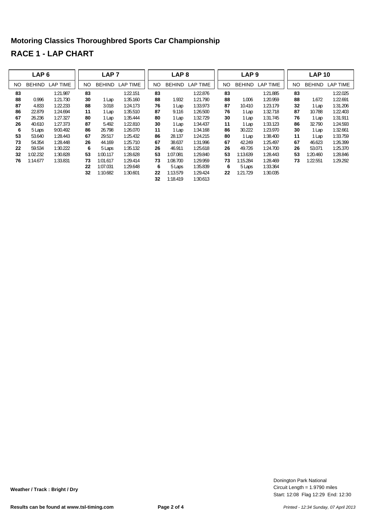## **Motoring Classics Thoroughbred Sports Car Championship RACE 1 - LAP CHART**

|    | LAP <sub>6</sub> |                 |     | LAP <sub>7</sub> |                 |    | LAP <sub>8</sub> |                 |     | LAP <sub>9</sub> |                 |     | <b>LAP 10</b> |                 |
|----|------------------|-----------------|-----|------------------|-----------------|----|------------------|-----------------|-----|------------------|-----------------|-----|---------------|-----------------|
| NO | <b>BEHIND</b>    | <b>LAP TIME</b> | NO. | <b>BEHIND</b>    | <b>LAP TIME</b> | NO | <b>BEHIND</b>    | <b>LAP TIME</b> | NO. | <b>BEHIND</b>    | <b>LAP TIME</b> | NO. | <b>BEHIND</b> | <b>LAP TIME</b> |
| 83 |                  | 1:21.987        | 83  |                  | 1:22.151        | 83 |                  | 1:22.876        | 83  |                  | 1:21.885        | 83  |               | 1:22.025        |
| 88 | 0.996            | 1:21.730        | 30  | 1 Lap            | 1:35.160        | 88 | 1.932            | 1:21.790        | 88  | 1.006            | 1:20.959        | 88  | 1.672         | 1:22.691        |
| 87 | 4.833            | 1:22.233        | 88  | 3.018            | 1:24.173        | 76 | 1 Lap            | 1:33.973        | 87  | 10.410           | 1:23.179        | 32  | 1 Lap         | 1:31.206        |
| 86 | 22.879           | 1:24.694        | 11  | 1 Lap            | 1:35.510        | 87 | 9.116            | 1:26.500        | 76  | 1 Lap            | 1:32.718        | 87  | 10.788        | 1:22.403        |
| 67 | 26.236           | 1:27.327        | 80  | 1 Lap            | 1:35.444        | 80 | 1 Lap            | 1:32.729        | 30  | 1 Lap            | 1:31.745        | 76  | 1 Lap         | 1:31.911        |
| 26 | 40.610           | 1:27.373        | 87  | 5.492            | 1:22.810        | 30 | 1 Lap            | 1:34.437        | 11  | 1 Lap            | 1:33.123        | 86  | 32.790        | 1:24.593        |
| 6  | 5 Laps           | 9:00.492        | 86  | 26.798           | 1:26.070        | 11 | 1 Lap            | 1:34.168        | 86  | 30.222           | 1:23.970        | 30  | 1 Lap         | 1:32.661        |
| 53 | 53.640           | 1:28.443        | 67  | 29.517           | 1:25.432        | 86 | 28.137           | 1:24.215        | 80  | 1 Lap            | 1:38.400        | 11  | 1 Lap         | 1:33.759        |
| 73 | 54.354           | 1:28.448        | 26  | 44.169           | 1:25.710        | 67 | 38.637           | 1:31.996        | 67  | 42.249           | 1:25.497        | 67  | 46.623        | 1:26.399        |
| 22 | 59.534           | 1:30.222        | 6   | 5 Laps           | 1:35.132        | 26 | 46.911           | 1:25.618        | 26  | 49.726           | 1:24.700        | 26  | 53.071        | 1:25.370        |
| 32 | 1:02.232         | 1:30.828        | 53  | 1:00.117         | 1:28.628        | 53 | 1:07.081         | 1:29.840        | 53  | 1:13.639         | 1:28.443        | 53  | 1:20.460      | 1:28.846        |
| 76 | 1:14.677         | 1:33.831        | 73  | 1:01.617         | 1:29.414        | 73 | 1:08.700         | 1:29.959        | 73  | 1:15.284         | 1:28.469        | 73  | 1:22.551      | 1:29.292        |
|    |                  |                 | 22  | 1:07.031         | 1:29.648        | 6  | 5 Laps           | 1:35.839        | 6   | 5 Laps           | 1:33.364        |     |               |                 |
|    |                  |                 | 32  | 1:10.682         | 1:30.601        | 22 | 1:13.579         | 1:29.424        | 22  | 1:21.729         | 1:30.035        |     |               |                 |
|    |                  |                 |     |                  |                 | 32 | 1:18.419         | 1:30.613        |     |                  |                 |     |               |                 |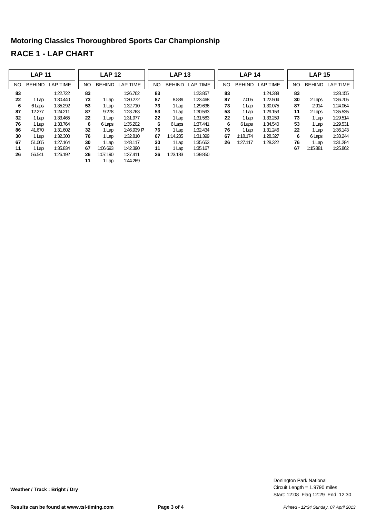# **Motoring Classics Thoroughbred Sports Car Championship RACE 1 - LAP CHART**

| <b>LAP 11</b> |               |                 |     | <b>LAP 12</b> |                       |     | <b>LAP 13</b> |                 |     | <b>LAP 14</b> |                 |     | <b>LAP 15</b> |                 |
|---------------|---------------|-----------------|-----|---------------|-----------------------|-----|---------------|-----------------|-----|---------------|-----------------|-----|---------------|-----------------|
| NO.           | <b>BEHIND</b> | <b>LAP TIME</b> | NO. | <b>BEHIND</b> | <b>LAP TIME</b>       | NO. | <b>BEHIND</b> | <b>LAP TIME</b> | NO. | <b>BEHIND</b> | <b>LAP TIME</b> | NO. | <b>BEHIND</b> | <b>LAP TIME</b> |
| 83            |               | 1:22.722        | 83  |               | 1:26.762              | 83  |               | 1:23.857        | 83  |               | 1:24.388        | 83  |               | 1:28.155        |
| 22            | 1 Lap         | 1:30.440        | 73  | 1 Lap         | 1:30.272              | 87  | 8.889         | 1:23.468        | 87  | 7.005         | 1:22.504        | 30  | 2 Laps        | 1:36.705        |
| 6             | 6 Laps        | 1:35.292        | 53  | 1 Lap         | 1:32.710              | 73  | 1 Lap         | 1:29.636        | 73  | 1 Lap         | 1:30.075        | 87  | 2.914         | 1:24.064        |
| 87            | 12.277        | 1:24.211        | 87  | 9.278         | 1:23.763              | 53  | l Lap         | 1:30.593        | 53  | 1 Lap         | 1:29.153        | 11  | 2 Laps        | 1:35.535        |
| 32            | 1 Lap         | 1:33.465        | 22  | 1 Lap         | 1:31.977              | 22  | l Lap         | 1:31.583        | 22  | 1 Lap         | 1:33.259        | 73  | 1 Lap         | 1:29.514        |
| 76            | 1 Lap         | 1:33.764        | 6   | 6 Laps        | 1:35.202              | 6   | 6 Laps        | 1:37.441        | 6   | 6 Laps        | 1:34.540        | 53  | 1 Lap         | 1:29.531        |
| 86            | 41.670        | 1:31.602        | 32  | 1 Lap         | 1:46.939 $\textbf{P}$ | 76  | 1 Lap         | 1:32.434        | 76  | 1 Lap         | 1:31.246        | 22  | 1 Lap         | 1:36.143        |
| 30            | 1 Lap         | 1:32.300        | 76  | 1 Lap         | 1:32.810              | 67  | 1:14.235      | 1:31.399        | 67  | 1:18.174      | 1:28.327        | 6   | 6 Laps        | 1:33.244        |
| 67            | 51.065        | 1:27.164        | 30  | 1 Lap         | 1:48.117              | 30  | I Lap         | 1:35.653        | 26  | 1:27.117      | 1:28.322        | 76  | 1 Lap         | 1:31.284        |
| 11            | 1 Lap         | 1:35.834        | 67  | 1:06.693      | 1:42.390              | 11  | Lap           | 1:35.167        |     |               |                 | 67  | 1:15.881      | 1:25.862        |
| 26            | 56.541        | 1:26.192        | 26  | 1:07.190      | 1:37.411              | 26  | 1:23.183      | 1:39.850        |     |               |                 |     |               |                 |
|               |               |                 | 11  | 1 Lap         | 1:44.269              |     |               |                 |     |               |                 |     |               |                 |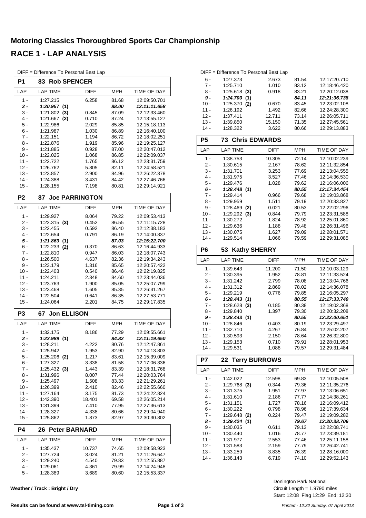#### **Motoring Classics Thoroughbred Sports Car Championship RACE 1 - LAP ANALYSIS**

|                | DIFF = Difference To Personal Best Lap |                       |                |                              |
|----------------|----------------------------------------|-----------------------|----------------|------------------------------|
| P <sub>1</sub> | 83<br><b>Rob SPENCER</b>               |                       |                |                              |
| LAP            | <b>LAP TIME</b>                        | <b>DIFF</b>           | <b>MPH</b>     | TIME OF DAY                  |
| $1 -$          | 1:27.215                               | 6.258                 | 81.68          | 12:09:50.701                 |
| $2 -$          | 1:20.957(1)                            |                       | 88.00          | 12:11:11.658                 |
| 3 -            | $1:21.802$ (3)                         | 0.845                 | 87.09          | 12:12:33.460                 |
| 4 -            | 1:21.667<br>(2)                        | 0.710                 | 87.24          | 12:13:55.127                 |
| 5 -            | 1:22.986                               | 2.029                 | 85.85          | 12:15:18.113                 |
| 6 -            | 1:21.987                               | 1.030                 | 86.89          | 12:16:40.100                 |
| 7 -<br>8 -     | 1:22.151<br>1:22.876                   | 1.194<br>1.919        | 86.72<br>85.96 | 12:18:02.251<br>12:19:25.127 |
| 9 -            | 1:21.885                               | 0.928                 | 87.00          | 12:20:47.012                 |
| $10 -$         | 1:22.025                               | 1.068                 | 86.85          | 12:22:09.037                 |
| 11 -           | 1:22.722                               | 1.765                 | 86.12          | 12:23:31.759                 |
| $12 -$         | 1:26.762                               | 5.805                 | 82.11          | 12:24:58.521                 |
| $13 -$         | 1:23.857                               | 2.900                 | 84.96          | 12:26:22.378                 |
| $14 -$         | 1:24.388                               | 3.431                 | 84.42          | 12:27:46.766                 |
| $15 -$         | 1:28.155                               | 7.198                 | 80.81          | 12:29:14.921                 |
| P <sub>2</sub> | 87                                     | <b>Joe PARRINGTON</b> |                |                              |
| LAP            | <b>LAP TIME</b>                        | <b>DIFF</b>           | <b>MPH</b>     | TIME OF DAY                  |
| $1 -$          | 1:29.927                               | 8.064                 | 79.22          | 12:09:53.413                 |
| 2 -            | $1:22.315$ (3)                         | 0.452                 | 86.55          | 12:11:15.728                 |
| 3 -            | 1:22.455                               | 0.592                 | 86.40          | 12:12:38.183                 |
| 4 -            | 1:22.654                               | 0.791                 | 86.19          | 12:14:00.837                 |
| 5 -<br>6 -     | 1:21.863(1)<br>$1:22.233$ (2)          | 0.370                 | 87.03<br>86.63 | 12:15:22.700<br>12:16:44.933 |
| 7 -            | 1:22.810                               | 0.947                 | 86.03          | 12:18:07.743                 |
| 8 -            | 1:26.500                               | 4.637                 | 82.36          | 12:19:34.243                 |
| 9 -            | 1:23.179                               | 1.316                 | 85.65          | 12:20:57.422                 |
| $10 -$         | 1:22.403                               | 0.540                 | 86.46          | 12:22:19.825                 |
| 11 -           | 1:24.211                               | 2.348                 | 84.60          | 12:23:44.036                 |
| $12 -$         | 1:23.763                               | 1.900                 | 85.05          | 12:25:07.799                 |
| $13 -$         | 1:23.468                               | 1.605                 | 85.35          | 12:26:31.267                 |
| $14 -$         | 1:22.504                               | 0.641                 | 86.35          | 12:27:53.771                 |
| 15 -           | 1:24.064                               | 2.201                 | 84.75          | 12:29:17.835                 |
| P <sub>3</sub> | <b>Jon ELLISON</b><br>67               |                       |                |                              |
| LAP            | <b>LAP TIME</b>                        | <b>DIFF</b>           | <b>MPH</b>     | TIME OF DAY                  |
| 1 -            | 1:32.175                               | 8.186                 | 77.29          | 12:09:55.661                 |
| $2 -$          | 1:23.989(1)                            |                       | 84.82          | 12:11:19.650                 |
| $3 -$          | 1:28.211                               | 4.222                 | 80.76          | 12:12:47.861                 |
| 4 -<br>$5 -$   | 1:25.942<br>$1:25.206$ (2)             | 1.953<br>1.217        | 82.90<br>83.61 | 12:14:13.803<br>12:15:39.009 |
| 6 -            | 1:27.327                               | 3.338                 | 81.58          | 12:17:06.336                 |
| 7 -            | 1:25.432(3)                            | 1.443                 | 83.39          | 12:18:31.768                 |
| 8 -            | 1:31.996                               | 8.007                 | 77.44          | 12:20:03.764                 |
| 9 -            | 1:25.497                               | 1.508                 | 83.33          | 12:21:29.261                 |
| $10 -$         | 1:26.399                               | 2.410                 | 82.46          | 12:22:55.660                 |
| 11 -           | 1:27.164                               | 3.175                 | 81.73          | 12:24:22.824                 |
| 12 -           | 1:42.390                               | 18.401                | 69.58          | 12:26:05.214                 |
| 13 -           | 1:31.399                               | 7.410                 | 77.95          | 12:27:36.613                 |
| 14 -<br>15 -   | 1:28.327<br>1:25.862                   | 4.338<br>1.873        | 80.66<br>82.97 | 12:29:04.940<br>12:30:30.802 |
| P4             | 26<br><b>Peter BARNARD</b>             |                       |                |                              |
| LAP            | <b>LAP TIME</b>                        | DIFF                  | <b>MPH</b>     | TIME OF DAY                  |
| 1 -            | 1:35.437                               | 10.737                | 74.65          | 12:09:58.923                 |
| 2 -            | 1:27.724                               | 3.024                 | 81.21          | 12:11:26.647                 |
| 3 -            | 1:29.240                               | 4.540                 | 79.83          | 12:12:55.887                 |
| 4 -            | 1:29.061                               | 4.361                 | 79.99          | 12:14:24.948                 |
| 5 -            | 1:28.389                               | 3.689                 | 80.60          | 12:15:53.337                 |

**Weather / Track : Bright / Dry**

|        | DIFF = Difference To Personal Best Lap |        |       |              |
|--------|----------------------------------------|--------|-------|--------------|
| $6 -$  | 1:27.373                               | 2.673  | 81.54 | 12:17:20.710 |
| $7 -$  | 1:25.710                               | 1.010  | 83.12 | 12:18:46.420 |
| 8 -    | $1:25.618$ (3)                         | 0.918  | 83.21 | 12:20:12.038 |
| 9 -    | 1:24.700(1)                            |        | 84.11 | 12:21:36.738 |
| $10 -$ | $1:25.370$ (2)                         | 0.670  | 83.45 | 12:23:02.108 |
| $11 -$ | 1:26.192                               | 1.492  | 82.66 | 12:24:28.300 |
| $12 -$ | 1:37.411                               | 12.711 | 73.14 | 12:26:05.711 |
| $13 -$ | 1:39.850                               | 15.150 | 71.35 | 12:27:45.561 |
| $14 -$ | 1:28.322                               | 3.622  | 80.66 | 12:29:13.883 |

| P <sub>5</sub> | <b>73 Chris EDWARDS</b> |             |       |              |
|----------------|-------------------------|-------------|-------|--------------|
| LAP            | <b>LAP TIME</b>         | <b>DIFF</b> | MPH   | TIME OF DAY  |
| 1 -            | 1:38.753                | 10.305      | 72.14 | 12:10:02.239 |
| 2 -            | 1:30.615                | 2.167       | 78.62 | 12:11:32.854 |
| 3 -            | 1:31.701                | 3.253       | 77.69 | 12:13:04.555 |
| 4 -            | 1:31.975                | 3.527       | 77.46 | 12:14:36.530 |
| 5 -            | 1:29.476                | 1.028       | 79.62 | 12:16:06.006 |
| 6 -            | 1:28.448(1)             |             | 80.55 | 12:17:34.454 |
| 7 -            | 1:29.414                | 0.966       | 79.68 | 12:19:03.868 |
| 8 -            | 1:29.959                | 1.511       | 79.19 | 12:20:33.827 |
| $9 -$          | 1:28.469<br>(2)         | 0.021       | 80.53 | 12:22:02.296 |
| 10 -           | 1:29.292<br>(3)         | 0.844       | 79.79 | 12:23:31.588 |
| 11 -           | 1:30.272                | 1.824       | 78.92 | 12:25:01.860 |
| $12 -$         | 1:29.636                | 1.188       | 79.48 | 12:26:31.496 |
| $13 -$         | 1:30.075                | 1.627       | 79.09 | 12:28:01.571 |
| 14 -           | 1:29.514                | 1.066       | 79.59 | 12:29:31.085 |

| P6     | 53 Kathy SHERRY |             |            |              |  |
|--------|-----------------|-------------|------------|--------------|--|
| LAP    | <b>LAP TIME</b> | <b>DIFF</b> | <b>MPH</b> | TIME OF DAY  |  |
| 1 -    | 1:39.643        | 11.200      | 71.50      | 12:10:03.129 |  |
| 2 -    | 1:30.395        | 1.952       | 78.81      | 12:11:33.524 |  |
| $3 -$  | 1:31.242        | 2.799       | 78.08      | 12:13:04.766 |  |
| $4 -$  | 1:31.312        | 2.869       | 78.02      | 12:14:36.078 |  |
| $5 -$  | 1:29.219        | 0.776       | 79.85      | 12:16:05.297 |  |
| 6 -    | 1:28.443(1)     |             | 80.55      | 12:17:33.740 |  |
| $7 -$  | 1:28.628<br>(3) | 0.185       | 80.38      | 12:19:02.368 |  |
| $8 -$  | 1:29.840        | 1.397       | 79.30      | 12:20:32.208 |  |
| 9 -    | 1:28.443(1)     |             | 80.55      | 12:22:00.651 |  |
| $10 -$ | 1:28.846        | 0.403       | 80.19      | 12:23:29.497 |  |
| 11 -   | 1:32.710        | 4.267       | 76.84      | 12:25:02.207 |  |
| $12 -$ | 1:30.593        | 2.150       | 78.64      | 12:26:32.800 |  |
| $13 -$ | 1:29.153        | 0.710       | 79.91      | 12:28:01.953 |  |
| 14 -   | 1:29.531        | 1.088       | 79.57      | 12:29:31.484 |  |

| P7     | 22 Terry BURROWS |             |            |              |
|--------|------------------|-------------|------------|--------------|
| LAP    | <b>LAP TIME</b>  | <b>DIFF</b> | <b>MPH</b> | TIME OF DAY  |
| 1 -    | 1:42.022         | 12.598      | 69.83      | 12:10:05.508 |
| 2 -    | $1:29.768$ (3)   | 0.344       | 79.36      | 12:11:35.276 |
| 3 -    | 1:31.375         | 1.951       | 77.97      | 12:13:06.651 |
| 4 -    | 1:31.610         | 2.186       | 77.77      | 12:14:38.261 |
| $5 -$  | 1:31.151         | 1.727       | 78.16      | 12:16:09.412 |
| $6 -$  | 1:30.222         | 0.798       | 78.96      | 12:17:39.634 |
| 7 -    | $1:29.648$ (2)   | 0.224       | 79.47      | 12:19:09.282 |
| 8 -    | 1:29.424<br>(1)  |             | 79.67      | 12:20:38.706 |
| $9 -$  | 1:30.035         | 0.611       | 79.13      | 12:22:08.741 |
| $10 -$ | 1:30.440         | 1.016       | 78.77      | 12:23:39.181 |
| 11 -   | 1:31.977         | 2.553       | 77.46      | 12:25:11.158 |
| 12 -   | 1:31.583         | 2.159       | 77.79      | 12:26:42.741 |
| 13 -   | 1:33.259         | 3.835       | 76.39      | 12:28:16.000 |
| 14 -   | 1:36.143         | 6.719       | 74.10      | 12:29:52.143 |

Start: 12:08 Flag 12:29 End: 12:30 Circuit Length = 1.9790 miles Donington Park National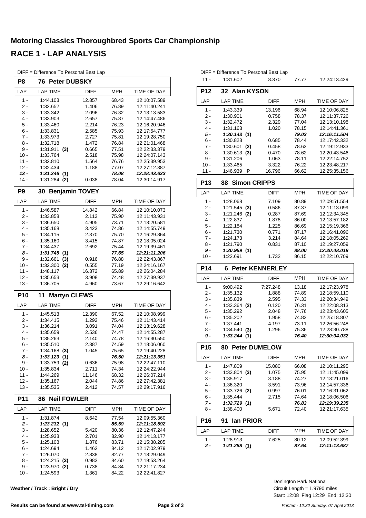## **Motoring Classics Thoroughbred Sports Car Championship RACE 1 - LAP ANALYSIS**

| P8               | <b>76 Peter DUBSKY</b>         |                |                |                              |
|------------------|--------------------------------|----------------|----------------|------------------------------|
| LAP              | <b>LAP TIME</b>                | DIFF           | <b>MPH</b>     | TIME OF DAY                  |
| $1 -$            | 1:44.103                       | 12.857         | 68.43          | 12:10:07.589                 |
| 2 -              | 1:32.652                       | 1.406          | 76.89          | 12:11:40.241                 |
| 3 -              | 1:33.342                       | 2.096          | 76.32          | 12:13:13.583                 |
| $4 -$            | 1:33.903                       | 2.657          | 75.87          | 12:14:47.486                 |
| 5 -<br>6 -       | 1:33.460                       | 2.214          | 76.23          | 12:16:20.946<br>12:17:54.777 |
| $7 -$            | 1:33.831<br>1:33.973           | 2.585<br>2.727 | 75.93<br>75.81 | 12:19:28.750                 |
| 8 -              | 1:32.718                       | 1.472          | 76.84          | 12:21:01.468                 |
| 9 -              | 1:31.911<br>(3)                | 0.665          | 77.51          | 12:22:33.379                 |
| $10 -$           | 1:33.764                       | 2.518          | 75.98          | 12:24:07.143                 |
| 11 -             | 1:32.810                       | 1.564          | 76.76          | 12:25:39.953                 |
| $12 -$           | 1:32.434                       | 1.188          | 77.07          | 12:27:12.387                 |
| $13 -$<br>$14 -$ | 1:31.246(1)<br>1:31.284<br>(2) | 0.038          | 78.08<br>78.04 | 12:28:43.633<br>12:30:14.917 |
|                  |                                |                |                |                              |
| P <sub>9</sub>   | <b>Benjamin TOVEY</b><br>30    |                |                |                              |
| LAP              | <b>LAP TIME</b>                | <b>DIFF</b>    | <b>MPH</b>     | TIME OF DAY                  |
| 1 -              | 1:46.587                       | 14.842         | 66.84          | 12:10:10.073                 |
| 2 -<br>3 -       | 1:33.858<br>1:36.650           | 2.113<br>4.905 | 75.90<br>73.71 | 12:11:43.931<br>12:13:20.581 |
| $4 -$            | 1:35.168                       | 3.423          | 74.86          | 12:14:55.749                 |
| 5 -              | 1:34.115                       | 2.370          | 75.70          | 12:16:29.864                 |
| $6 -$            | 1:35.160                       | 3.415          | 74.87          | 12:18:05.024                 |
| $7 -$            | 1:34.437                       | 2.692          | 75.44          | 12:19:39.461                 |
| 8 -              | 1:31.745<br>(1)                |                | 77.65          | 12:21:11.206                 |
| 9 -              | 1:32.661<br>(3)                | 0.916          | 76.88          | 12:22:43.867                 |
| $10 -$           | 1:32.300<br>(2)                | 0.555          | 77.19          | 12:24:16.167                 |
| 11 -             | 1:48.117                       | 16.372         | 65.89          | 12:26:04.284                 |
| $12 -$<br>$13 -$ | 1:35.653<br>1:36.705           | 3.908<br>4.960 | 74.48<br>73.67 | 12:27:39.937<br>12:29:16.642 |
|                  |                                |                |                |                              |
| P10              | <b>Martyn CLEWS</b><br>11      |                |                |                              |
| LAP              | <b>LAP TIME</b>                | <b>DIFF</b>    | <b>MPH</b>     | TIME OF DAY                  |
| 1 -              | 1:45.513                       | 12.390         | 67.52          | 12:10:08.999                 |
| 2 -              | 1:34.415                       | 1.292          | 75.46          | 12:11:43.414                 |
| 3 -<br>$4 -$     | 1:36.214<br>1:35.659           | 3.091<br>2.536 | 74.04          | 12:13:19.628<br>12:14:55.287 |
| 5 -              | 1:35.263                       | 2.140          | 74.47<br>74.78 | 12:16:30.550                 |
| 6 -              | 1:35.510                       | 2.387          | 74.59          | 12:18:06.060                 |
| $7 -$            | $1:34.168$ (3)                 | 1.045          | 75.65          | 12:19:40.228                 |
| 8 -              | 1:33.123(1)                    |                | 76.50          | 12:21:13.351                 |
| $9 -$            | $1:33.759$ (2)                 | 0.636          | 75.98          | 12:22:47.110                 |
| $10 -$           | 1:35.834                       | 2.711          | 74.34          | 12:24:22.944                 |
| $11 -$           | 1:44.269                       | 11.146         | 68.32          | 12:26:07.214                 |
| 12 -             | 1:35.167                       | 2.044          | 74.86          | 12:27:42.381                 |
| 13 -             | 1:35.535                       | 2.412          | 74.57          | 12:29:17.916                 |
| P11              | <b>Neil FOWLER</b><br>86       |                |                |                              |
| LAP              | <b>LAP TIME</b>                | <b>DIFF</b>    | <b>MPH</b>     | TIME OF DAY                  |
| $1 -$            | 1:31.874                       | 8.642          | 77.54          | 12:09:55.360                 |
| $2 -$<br>$3 -$   | 1:23.232(1)                    | 5.420          | 85.59<br>80.36 | 12:11:18.592<br>12:12:47.244 |
| $4 -$            | 1:28.652<br>1:25.933           | 2.701          | 82.90          | 12:14:13.177                 |
| $5 -$            | 1:25.108                       | 1.876          | 83.71          | 12:15:38.285                 |
| 6 -              | 1:24.694                       | 1.462          | 84.12          | 12:17:02.979                 |
| 7 -              | 1:26.070                       | 2.838          | 82.77          | 12:18:29.049                 |
| 8 -              | $1:24.215$ (3)                 | 0.983          | 84.60          | 12:19:53.264                 |
| $9 -$            | $1:23.970$ (2)                 | 0.738          | 84.84          | 12:21:17.234                 |
| $10 -$           | 1:24.593                       | 1.361          | 84.22          | 12:22:41.827                 |

DIFF = Difference To Personal Best Lap

| DIFF = Difference To Personal Best Lap |                             |                 |                |                              |  |
|----------------------------------------|-----------------------------|-----------------|----------------|------------------------------|--|
| $11 -$                                 | 1:31.602                    | 8.370           | 77.77          | 12.24.13.429                 |  |
| <b>P12</b>                             | <b>Alan KYSON</b><br>32     |                 |                |                              |  |
| LAP                                    | <b>LAP TIME</b>             | <b>DIFF</b>     | MPH            | TIME OF DAY                  |  |
| 1 -                                    | 1:43.339                    | 13.196          | 68.94          | 12:10:06.825                 |  |
| 2 -                                    | 1:30.901                    | 0.758           | 78.37          | 12:11:37.726                 |  |
| 3 -<br>4 -                             | 1:32.472<br>1:31.163        | 2.329           | 77.04          | 12:13:10.198<br>12:14:41.361 |  |
| 5 -                                    | 1:30.143(1)                 | 1.020           | 78.15<br>79.03 | 12:16:11.504                 |  |
| 6 -                                    | 1:30.828                    | 0.685           | 78.44          | 12:17:42.332                 |  |
| 7 -                                    | 1:30.601<br>(2)             | 0.458           | 78.63          | 12:19:12.933                 |  |
| 8 -                                    | 1:30.613<br>(3)             | 0.470           | 78.62          | 12:20:43.546                 |  |
| 9 -                                    | 1:31.206                    | 1.063           | 78.11          | 12:22:14.752                 |  |
| $10 -$<br>11 -                         | 1:33.465<br>Ρ<br>1:46.939   | 3.322<br>16.796 | 76.22<br>66.62 | 12:23:48.217<br>12:25:35.156 |  |
| <b>P13</b>                             | <b>Simon CRIPPS</b><br>88   |                 |                |                              |  |
| LAP                                    | <b>LAP TIME</b>             | <b>DIFF</b>     | <b>MPH</b>     | TIME OF DAY                  |  |
| $1 -$                                  | 1:28.068                    | 7.109           | 80.89          | 12:09:51.554                 |  |
| 2 -                                    | 1:21.545<br>(3)             | 0.586           | 87.37          | 12:11:13.099                 |  |
| 3 -                                    | 1:21.246<br>(2)             | 0.287           | 87.69          | 12:12:34.345                 |  |
| 4 -                                    | 1:22.837                    | 1.878           | 86.00          | 12:13:57.182                 |  |
| 5 -                                    | 1:22.184                    | 1.225           | 86.69          | 12:15:19.366                 |  |
| 6 -                                    | 1:21.730                    | 0.771           | 87.17          | 12:16:41.096                 |  |
| 7 -<br>8 -                             | 1:24.173<br>1:21.790        | 3.214<br>0.831  | 84.64<br>87.10 | 12:18:05.269<br>12:19:27.059 |  |
| 9 -                                    | 1:20.959(1)                 |                 | 88.00          | 12:20:48.018                 |  |
| $10 -$                                 | 1:22.691                    | 1.732           | 86.15          | 12:22:10.709                 |  |
| <b>P14</b>                             | <b>Peter KENNERLEY</b><br>6 |                 |                |                              |  |
| LAP                                    | <b>LAP TIME</b>             | <b>DIFF</b>     | <b>MPH</b>     | TIME OF DAY                  |  |
| 1 -                                    | 9:00.492                    | 7:27.248        | 13.18          | 12:17:23.978                 |  |
| 2 -                                    | 1:35.132                    | 1.888           | 74.89          | 12:18:59.110                 |  |
| 3 -                                    | 1:35.839                    | 2.595           | 74.33          | 12:20:34.949                 |  |
| 4 -                                    | 1:33.364<br>(2)             | 0.120           | 76.31          | 12:22:08.313                 |  |
| 5 -<br>6 -                             | 1:35.292<br>1:35.202        | 2.048<br>1.958  | 74.76<br>74.83 | 12:23:43.605<br>12:25:18.807 |  |
| 7 -                                    | 1:37.441                    | 4.197           | 73.11          | 12:26:56.248                 |  |
| 8 -                                    | 1:34.540<br>(3)             | 1.296           | 75.36          | 12:28:30.788                 |  |
| 9 -                                    | 1:33.244(1)                 |                 | 76.40          | 12:30:04.032                 |  |
| <b>P15</b>                             | <b>80 Peter DUMELOW</b>     |                 |                |                              |  |
| LAP                                    | <b>LAP TIME</b>             | DIFF            | MPH            | <b>TIME OF DAY</b>           |  |
| 1 -                                    | 1:47.809                    | 15.080          | 66.08          | 12:10:11.295                 |  |
| 2 -                                    | $1:33.804$ (3)              | 1.075           | 75.95          | 12:11:45.099                 |  |
| 3 -                                    | 1:35.917                    | 3.188           | 74.27          | 12:13:21.016                 |  |
| 4 -<br>5 -                             | 1:36.320<br>$1:33.726$ (2)  | 3.591<br>0.997  | 73.96<br>76.01 | 12:14:57.336<br>12:16:31.062 |  |
| 6 -                                    | 1:35.444                    | 2.715           | 74.64          | 12:18:06.506                 |  |
| 7 -                                    | 1:32.729(1)                 |                 | 76.83          | 12:19:39.235                 |  |
| 8 -                                    | 1:38.400                    | 5.671           | 72.40          | 12:21:17.635                 |  |
| <b>P16</b>                             | 91<br>lan PRIOR             |                 |                |                              |  |
| LAP                                    | <b>LAP TIME</b>             | DIFF            | MPH            | TIME OF DAY                  |  |
| 1 -                                    | 1:28.913                    | 7.625           | 80.12          | 12:09:52.399                 |  |
| 2 -                                    | 1:21.288(1)                 |                 | 87.64          | 12:11:13.687                 |  |
|                                        |                             |                 |                |                              |  |

**Weather / Track : Bright / Dry**

Start: 12:08 Flag 12:29 End: 12:30 Circuit Length = 1.9790 miles Donington Park National